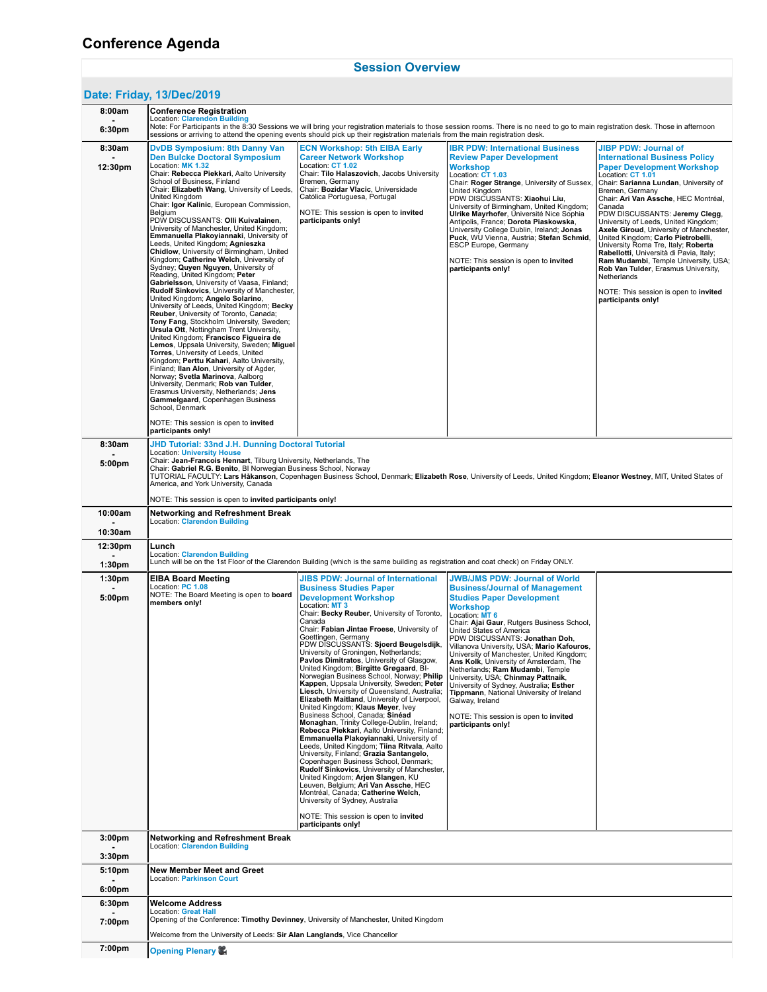## **[Session Overview](https://www.conftool.org/eiba2019/index.php?page=browseSessions&path=adminSessions&print=yes)**

## **Date: Friday, [13/Dec/2019](https://www.conftool.org/eiba2019/index.php?page=browseSessions&path=adminSessions&print=yes&form_date=2019-12-13)**

| 8:00am                        | Conference Registration                                                                                                                                                                                                                                                                                                                                                                                                                                                                                                                                                                                                                                                                                                                                                                                                                                                                                                                                                                                                                                                                                                                                                                                                                                                                                                                                      |                                                                                                                                                                                                                                                                                                                                                                                                                                                                                                                                                                                                                                                                                                                                                                                                                                                                                                                                                                                                                                                                                                                                                                                                                                                    |                                                                                                                                                                                                                                                                                                                                                                                                                                                                                                                                                                                                                                                     |                                                                                                                                                                                                                                                                                                                                                                                                                                                                                                                                                                                                                                                |  |  |  |  |  |
|-------------------------------|--------------------------------------------------------------------------------------------------------------------------------------------------------------------------------------------------------------------------------------------------------------------------------------------------------------------------------------------------------------------------------------------------------------------------------------------------------------------------------------------------------------------------------------------------------------------------------------------------------------------------------------------------------------------------------------------------------------------------------------------------------------------------------------------------------------------------------------------------------------------------------------------------------------------------------------------------------------------------------------------------------------------------------------------------------------------------------------------------------------------------------------------------------------------------------------------------------------------------------------------------------------------------------------------------------------------------------------------------------------|----------------------------------------------------------------------------------------------------------------------------------------------------------------------------------------------------------------------------------------------------------------------------------------------------------------------------------------------------------------------------------------------------------------------------------------------------------------------------------------------------------------------------------------------------------------------------------------------------------------------------------------------------------------------------------------------------------------------------------------------------------------------------------------------------------------------------------------------------------------------------------------------------------------------------------------------------------------------------------------------------------------------------------------------------------------------------------------------------------------------------------------------------------------------------------------------------------------------------------------------------|-----------------------------------------------------------------------------------------------------------------------------------------------------------------------------------------------------------------------------------------------------------------------------------------------------------------------------------------------------------------------------------------------------------------------------------------------------------------------------------------------------------------------------------------------------------------------------------------------------------------------------------------------------|------------------------------------------------------------------------------------------------------------------------------------------------------------------------------------------------------------------------------------------------------------------------------------------------------------------------------------------------------------------------------------------------------------------------------------------------------------------------------------------------------------------------------------------------------------------------------------------------------------------------------------------------|--|--|--|--|--|
| 6:30 <sub>pm</sub>            | <b>Location: Clarendon Building</b><br>Note: For Participants in the 8:30 Sessions we will bring your registration materials to those session rooms. There is no need to go to main registration desk. Those in afternoon<br>sessions or arriving to attend the opening events should pick up their registration materials from the main registration desk.                                                                                                                                                                                                                                                                                                                                                                                                                                                                                                                                                                                                                                                                                                                                                                                                                                                                                                                                                                                                  |                                                                                                                                                                                                                                                                                                                                                                                                                                                                                                                                                                                                                                                                                                                                                                                                                                                                                                                                                                                                                                                                                                                                                                                                                                                    |                                                                                                                                                                                                                                                                                                                                                                                                                                                                                                                                                                                                                                                     |                                                                                                                                                                                                                                                                                                                                                                                                                                                                                                                                                                                                                                                |  |  |  |  |  |
| 8:30am<br>12:30pm             | <b>DyDB Symposium: 8th Danny Van</b><br><b>Den Bulcke Doctoral Symposium</b><br>Location: MK 1.32<br>Chair: Rebecca Piekkari, Aalto University<br>School of Business, Finland<br>Chair: Elizabeth Wang, University of Leeds.<br>United Kingdom<br>Chair: Igor Kalinic, European Commission,<br>Belgium<br>PDW DISCUSSANTS: Olli Kuivalainen,<br>University of Manchester, United Kingdom;<br>Emmanuella Plakoyiannaki, University of<br>Leeds, United Kingdom; Agnieszka<br>Chidlow, University of Birmingham, United<br>Kingdom; Catherine Welch, University of<br>Sydney; Quyen Nguyen, University of<br>Reading, United Kingdom; Peter<br>Gabrielsson, University of Vaasa, Finland;<br>Rudolf Sinkovics, University of Manchester,<br>United Kingdom; Angelo Solarino,<br>University of Leeds, United Kingdom; Becky<br>Reuber, University of Toronto, Canada;<br>Tony Fang, Stockholm University, Sweden;<br>Ursula Ott, Nottingham Trent University,<br>United Kingdom; Francisco Figueira de<br>Lemos, Uppsala University, Sweden; Miguel<br>Torres, University of Leeds, United<br>Kingdom; Perttu Kahari, Aalto University,<br>Finland; Ilan Alon, University of Agder,<br>Norway; Svetla Marinova, Aalborg<br>University, Denmark; Rob van Tulder,<br>Erasmus University, Netherlands; Jens<br>Gammelgaard, Copenhagen Business<br>School, Denmark | <b>ECN Workshop: 5th EIBA Early</b><br><b>Career Network Workshop</b><br>Location: CT 1.02<br>Chair: Tilo Halaszovich, Jacobs University<br>Bremen, Germany<br>Chair: Bozidar Vlacic, Universidade<br>Católica Portuguesa, Portugal<br>NOTE: This session is open to invited<br>participants only!                                                                                                                                                                                                                                                                                                                                                                                                                                                                                                                                                                                                                                                                                                                                                                                                                                                                                                                                                 | <b>IBR PDW: International Business</b><br><b>Review Paper Development</b><br><b>Workshop</b><br>Location: CT 1.03<br>Chair: Roger Strange, University of Sussex,<br>United Kingdom<br>PDW DISCUSSANTS: Xiaohui Liu,<br>University of Birmingham, United Kingdom;<br>Ulrike Mayrhofer, Université Nice Sophia<br>Antipolis, France; Dorota Piaskowska,<br>University College Dublin, Ireland; Jonas<br>Puck, WU Vienna, Austria; Stefan Schmid,<br>ESCP Europe, Germany<br>NOTE: This session is open to invited<br>participants only!                                                                                                               | JIBP PDW: Journal of<br><b>International Business Policy</b><br><b>Paper Development Workshop</b><br>Location: CT 1.01<br>Chair: Sarianna Lundan, University of<br>Bremen, Germany<br>Chair: Ari Van Assche, HEC Montréal,<br>Canada<br>PDW DISCUSSANTS: Jeremy Clegg,<br>University of Leeds, United Kingdom;<br>Axele Giroud, University of Manchester,<br>United Kingdom; Carlo Pietrobelli,<br>University Roma Tre, Italy; Roberta<br>Rabellotti, Università di Pavia, Italy;<br>Ram Mudambi, Temple University, USA;<br>Rob Van Tulder, Erasmus University,<br>Netherlands<br>NOTE: This session is open to invited<br>participants only! |  |  |  |  |  |
| 8:30am                        | NOTE: This session is open to invited<br>participants only!                                                                                                                                                                                                                                                                                                                                                                                                                                                                                                                                                                                                                                                                                                                                                                                                                                                                                                                                                                                                                                                                                                                                                                                                                                                                                                  |                                                                                                                                                                                                                                                                                                                                                                                                                                                                                                                                                                                                                                                                                                                                                                                                                                                                                                                                                                                                                                                                                                                                                                                                                                                    |                                                                                                                                                                                                                                                                                                                                                                                                                                                                                                                                                                                                                                                     |                                                                                                                                                                                                                                                                                                                                                                                                                                                                                                                                                                                                                                                |  |  |  |  |  |
| 5:00pm                        | <b>JHD Tutorial: 33nd J.H. Dunning Doctoral Tutorial</b><br><b>Location: University House</b><br>Chair: Jean-Francois Hennart, Tilburg University, Netherlands, The<br>Chair: Gabriel R.G. Benito, BI Norwegian Business School, Norway<br>TUTORIAL FACULTY: Lars Håkanson, Copenhagen Business School, Denmark; Elizabeth Rose, University of Leeds, United Kingdom; Eleanor Westney, MIT, United States of<br>America, and York University, Canada<br>NOTE: This session is open to <b>invited participants only!</b>                                                                                                                                                                                                                                                                                                                                                                                                                                                                                                                                                                                                                                                                                                                                                                                                                                      |                                                                                                                                                                                                                                                                                                                                                                                                                                                                                                                                                                                                                                                                                                                                                                                                                                                                                                                                                                                                                                                                                                                                                                                                                                                    |                                                                                                                                                                                                                                                                                                                                                                                                                                                                                                                                                                                                                                                     |                                                                                                                                                                                                                                                                                                                                                                                                                                                                                                                                                                                                                                                |  |  |  |  |  |
| 10:00am                       | <b>Networking and Refreshment Break</b>                                                                                                                                                                                                                                                                                                                                                                                                                                                                                                                                                                                                                                                                                                                                                                                                                                                                                                                                                                                                                                                                                                                                                                                                                                                                                                                      |                                                                                                                                                                                                                                                                                                                                                                                                                                                                                                                                                                                                                                                                                                                                                                                                                                                                                                                                                                                                                                                                                                                                                                                                                                                    |                                                                                                                                                                                                                                                                                                                                                                                                                                                                                                                                                                                                                                                     |                                                                                                                                                                                                                                                                                                                                                                                                                                                                                                                                                                                                                                                |  |  |  |  |  |
| 10:30am                       | Location: Clarendon Building                                                                                                                                                                                                                                                                                                                                                                                                                                                                                                                                                                                                                                                                                                                                                                                                                                                                                                                                                                                                                                                                                                                                                                                                                                                                                                                                 |                                                                                                                                                                                                                                                                                                                                                                                                                                                                                                                                                                                                                                                                                                                                                                                                                                                                                                                                                                                                                                                                                                                                                                                                                                                    |                                                                                                                                                                                                                                                                                                                                                                                                                                                                                                                                                                                                                                                     |                                                                                                                                                                                                                                                                                                                                                                                                                                                                                                                                                                                                                                                |  |  |  |  |  |
| 12:30pm<br>1:30 <sub>pm</sub> | Lunch<br><b>Location: Clarendon Building</b>                                                                                                                                                                                                                                                                                                                                                                                                                                                                                                                                                                                                                                                                                                                                                                                                                                                                                                                                                                                                                                                                                                                                                                                                                                                                                                                 | Lunch will be on the 1st Floor of the Clarendon Building (which is the same building as registration and coat check) on Friday ONLY.                                                                                                                                                                                                                                                                                                                                                                                                                                                                                                                                                                                                                                                                                                                                                                                                                                                                                                                                                                                                                                                                                                               |                                                                                                                                                                                                                                                                                                                                                                                                                                                                                                                                                                                                                                                     |                                                                                                                                                                                                                                                                                                                                                                                                                                                                                                                                                                                                                                                |  |  |  |  |  |
| 1:30pm<br>5:00pm              | <b>EIBA Board Meeting</b><br>Location: PC 1.08<br>NOTE: The Board Meeting is open to board<br>members only!                                                                                                                                                                                                                                                                                                                                                                                                                                                                                                                                                                                                                                                                                                                                                                                                                                                                                                                                                                                                                                                                                                                                                                                                                                                  | <b>JIBS PDW: Journal of International</b><br><b>Business Studies Paper</b><br><b>Development Workshop</b><br>Location: MT 3<br>Chair: Becky Reuber, University of Toronto,<br>Canada<br>Chair: Fabian Jintae Froese, University of<br>Goettingen, Germany<br>PDW DISCUSSANTS: Sjoerd Beugelsdijk,<br>University of Groningen, Netherlands;<br>Pavlos Dimitratos, University of Glasgow,<br>United Kingdom; Birgitte Grøgaard, Bl-<br>Norwegian Business School, Norway; Philip<br>Kappen, Uppsala University, Sweden; Peter<br>Liesch, University of Queensland, Australia;<br>Elizabeth Maitland, University of Liverpool,<br>United Kingdom; Klaus Meyer, Ivey<br>Business School, Canada; Sinéad<br>Monaghan, Trinity College-Dublin, Ireland;<br>Rebecca Piekkari, Aalto University, Finland;<br>Emmanuella Plakoviannaki, University of<br>Leeds. United Kingdom: Tiina Ritvala. Aalto<br>University, Finland; Grazia Santangelo,<br>Copenhagen Business School, Denmark;<br>Rudolf Sinkovics, University of Manchester,<br>United Kingdom; Arjen Slangen, KU<br>Leuven, Belgium; Ari Van Assche, HEC<br>Montréal, Canada; Catherine Welch,<br>University of Sydney, Australia<br>NOTE: This session is open to invited<br>participants only! | <b>JWB/JMS PDW: Journal of World</b><br><b>Business/Journal of Management</b><br><b>Studies Paper Development</b><br>Workshop<br>Location: MT 6<br>Chair: Ajai Gaur, Rutgers Business School,<br>United States of America<br>PDW DISCUSSANTS: Jonathan Doh,<br>Villanova University, USA; Mario Kafouros,<br>University of Manchester, United Kingdom;<br>Ans Kolk, University of Amsterdam, The<br>Netherlands; Ram Mudambi, Temple<br>University, USA; Chinmay Pattnaik,<br>University of Sydney, Australia; Esther<br>Tippmann, National University of Ireland<br>Galway, Ireland<br>NOTE: This session is open to invited<br>participants only! |                                                                                                                                                                                                                                                                                                                                                                                                                                                                                                                                                                                                                                                |  |  |  |  |  |
| 3:00 <sub>pm</sub>            | Networking and Refreshment Break<br>Location: Clarendon Building                                                                                                                                                                                                                                                                                                                                                                                                                                                                                                                                                                                                                                                                                                                                                                                                                                                                                                                                                                                                                                                                                                                                                                                                                                                                                             |                                                                                                                                                                                                                                                                                                                                                                                                                                                                                                                                                                                                                                                                                                                                                                                                                                                                                                                                                                                                                                                                                                                                                                                                                                                    |                                                                                                                                                                                                                                                                                                                                                                                                                                                                                                                                                                                                                                                     |                                                                                                                                                                                                                                                                                                                                                                                                                                                                                                                                                                                                                                                |  |  |  |  |  |
| 3:30 <sub>pm</sub>            |                                                                                                                                                                                                                                                                                                                                                                                                                                                                                                                                                                                                                                                                                                                                                                                                                                                                                                                                                                                                                                                                                                                                                                                                                                                                                                                                                              |                                                                                                                                                                                                                                                                                                                                                                                                                                                                                                                                                                                                                                                                                                                                                                                                                                                                                                                                                                                                                                                                                                                                                                                                                                                    |                                                                                                                                                                                                                                                                                                                                                                                                                                                                                                                                                                                                                                                     |                                                                                                                                                                                                                                                                                                                                                                                                                                                                                                                                                                                                                                                |  |  |  |  |  |
| 5:10pm<br>6:00 <sub>pm</sub>  | <b>New Member Meet and Greet</b><br><b>Location: Parkinson Court</b>                                                                                                                                                                                                                                                                                                                                                                                                                                                                                                                                                                                                                                                                                                                                                                                                                                                                                                                                                                                                                                                                                                                                                                                                                                                                                         |                                                                                                                                                                                                                                                                                                                                                                                                                                                                                                                                                                                                                                                                                                                                                                                                                                                                                                                                                                                                                                                                                                                                                                                                                                                    |                                                                                                                                                                                                                                                                                                                                                                                                                                                                                                                                                                                                                                                     |                                                                                                                                                                                                                                                                                                                                                                                                                                                                                                                                                                                                                                                |  |  |  |  |  |
| 6:30 <sub>pm</sub>            | Welcome Address                                                                                                                                                                                                                                                                                                                                                                                                                                                                                                                                                                                                                                                                                                                                                                                                                                                                                                                                                                                                                                                                                                                                                                                                                                                                                                                                              |                                                                                                                                                                                                                                                                                                                                                                                                                                                                                                                                                                                                                                                                                                                                                                                                                                                                                                                                                                                                                                                                                                                                                                                                                                                    |                                                                                                                                                                                                                                                                                                                                                                                                                                                                                                                                                                                                                                                     |                                                                                                                                                                                                                                                                                                                                                                                                                                                                                                                                                                                                                                                |  |  |  |  |  |
| 7:00pm                        | <b>Location: Great Hall</b>                                                                                                                                                                                                                                                                                                                                                                                                                                                                                                                                                                                                                                                                                                                                                                                                                                                                                                                                                                                                                                                                                                                                                                                                                                                                                                                                  | Opening of the Conference: Timothy Devinney, University of Manchester, United Kingdom                                                                                                                                                                                                                                                                                                                                                                                                                                                                                                                                                                                                                                                                                                                                                                                                                                                                                                                                                                                                                                                                                                                                                              |                                                                                                                                                                                                                                                                                                                                                                                                                                                                                                                                                                                                                                                     |                                                                                                                                                                                                                                                                                                                                                                                                                                                                                                                                                                                                                                                |  |  |  |  |  |
| 7:00pm                        | Welcome from the University of Leeds: Sir Alan Langlands, Vice Chancellor                                                                                                                                                                                                                                                                                                                                                                                                                                                                                                                                                                                                                                                                                                                                                                                                                                                                                                                                                                                                                                                                                                                                                                                                                                                                                    |                                                                                                                                                                                                                                                                                                                                                                                                                                                                                                                                                                                                                                                                                                                                                                                                                                                                                                                                                                                                                                                                                                                                                                                                                                                    |                                                                                                                                                                                                                                                                                                                                                                                                                                                                                                                                                                                                                                                     |                                                                                                                                                                                                                                                                                                                                                                                                                                                                                                                                                                                                                                                |  |  |  |  |  |
|                               | Opening Plenary &                                                                                                                                                                                                                                                                                                                                                                                                                                                                                                                                                                                                                                                                                                                                                                                                                                                                                                                                                                                                                                                                                                                                                                                                                                                                                                                                            |                                                                                                                                                                                                                                                                                                                                                                                                                                                                                                                                                                                                                                                                                                                                                                                                                                                                                                                                                                                                                                                                                                                                                                                                                                                    |                                                                                                                                                                                                                                                                                                                                                                                                                                                                                                                                                                                                                                                     |                                                                                                                                                                                                                                                                                                                                                                                                                                                                                                                                                                                                                                                |  |  |  |  |  |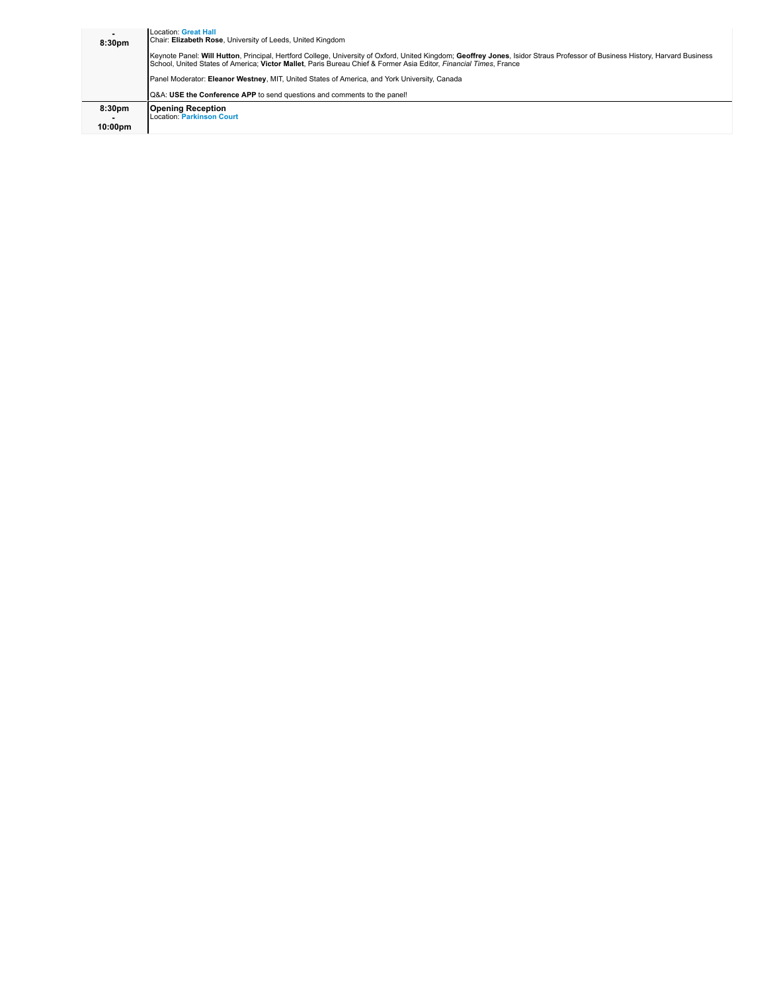| $\overline{\phantom{a}}$<br>8:30pm             | <b>Location: Great Hall</b><br>Chair: Elizabeth Rose, University of Leeds, United Kingdom<br>Keynote Panel: Will Hutton, Principal, Hertford College, University of Oxford, United Kingdom; Geoffrey Jones, Isidor Straus Professor of Business History, Harvard Business<br>School, United States of America: Victor Mallet, Paris Bureau Chief & Former Asia Editor, Financial Times, France<br>Panel Moderator: Eleanor Westney, MIT, United States of America, and York University, Canada<br>Q&A: USE the Conference APP to send questions and comments to the panel! |
|------------------------------------------------|----------------------------------------------------------------------------------------------------------------------------------------------------------------------------------------------------------------------------------------------------------------------------------------------------------------------------------------------------------------------------------------------------------------------------------------------------------------------------------------------------------------------------------------------------------------------------|
| 8:30 <sub>pm</sub><br>-<br>10:00 <sub>pm</sub> | <b>Opening Reception</b><br><b>Location: Parkinson Court</b>                                                                                                                                                                                                                                                                                                                                                                                                                                                                                                               |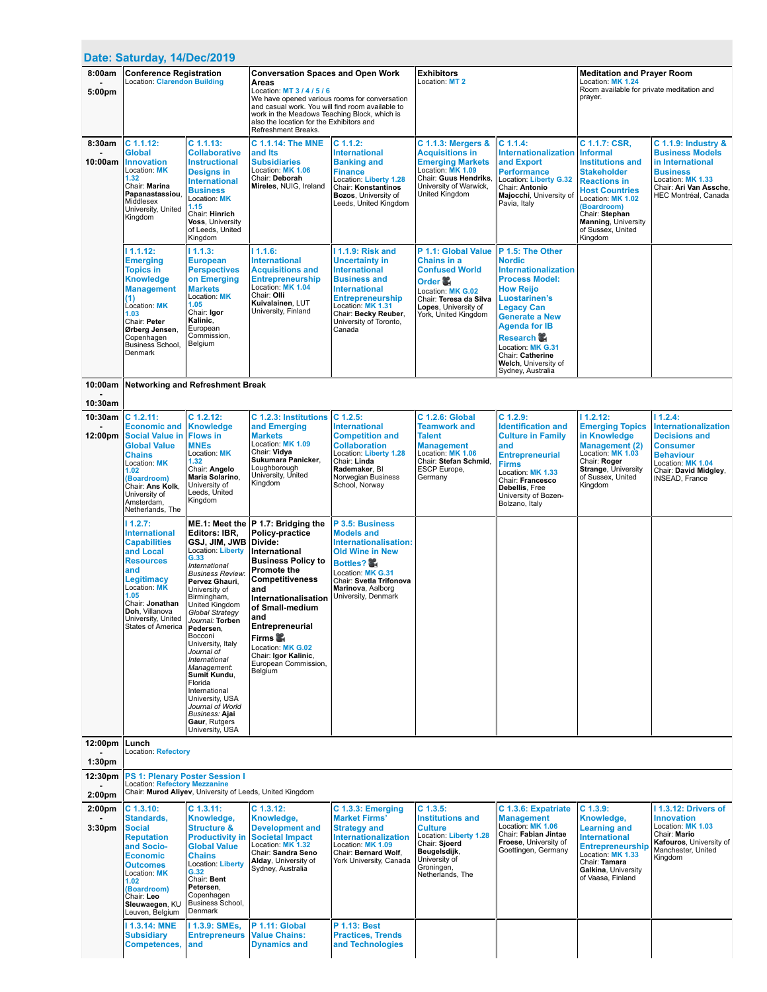| Date: Saturday, 14/Dec/2019                         |                                                                                                                                                                                                                                                       |                                                                                                                                                                                                                                                                                                                                                                                                                                                           |                                                                                                                                                                                                                                                                                                         |                                                                                                                                                                                                                                 |                                                                                                                                                                              |                                                                                                                                                                                                                                                                                                               |                                                                                                                                                                                                                                                       |                                                                                                                                                                       |  |
|-----------------------------------------------------|-------------------------------------------------------------------------------------------------------------------------------------------------------------------------------------------------------------------------------------------------------|-----------------------------------------------------------------------------------------------------------------------------------------------------------------------------------------------------------------------------------------------------------------------------------------------------------------------------------------------------------------------------------------------------------------------------------------------------------|---------------------------------------------------------------------------------------------------------------------------------------------------------------------------------------------------------------------------------------------------------------------------------------------------------|---------------------------------------------------------------------------------------------------------------------------------------------------------------------------------------------------------------------------------|------------------------------------------------------------------------------------------------------------------------------------------------------------------------------|---------------------------------------------------------------------------------------------------------------------------------------------------------------------------------------------------------------------------------------------------------------------------------------------------------------|-------------------------------------------------------------------------------------------------------------------------------------------------------------------------------------------------------------------------------------------------------|-----------------------------------------------------------------------------------------------------------------------------------------------------------------------|--|
| 8:00am<br>5:00pm                                    | <b>Conference Registration</b><br><b>Location: Clarendon Building</b>                                                                                                                                                                                 |                                                                                                                                                                                                                                                                                                                                                                                                                                                           | <b>Conversation Spaces and Open Work</b><br>Areas<br>Location: MT 3 / 4 / 5 / 6<br>We have opened various rooms for conversation<br>and casual work. You will find room available to<br>work in the Meadows Teaching Block, which is<br>also the location for the Exhibitors and<br>Refreshment Breaks. |                                                                                                                                                                                                                                 | Exhibitors<br>Location: MT 2                                                                                                                                                 |                                                                                                                                                                                                                                                                                                               | <b>Meditation and Prayer Room</b><br>Location: MK 1.24<br>Room available for private meditation and<br>prayer.                                                                                                                                        |                                                                                                                                                                       |  |
| 8:30am<br>10:00am                                   | $C$ 1.1.12:<br><b>Global</b><br><b>Innovation</b><br>Location: MK<br>1.32<br>Chair: Marina<br>Papanastassiou.<br>Middlesex<br>University, United<br>Kingdom                                                                                           | $C$ 1.1.13:<br><b>Collaborative</b><br><b>Instructional</b><br><b>Designs in</b><br><b>International</b><br><b>Business</b><br>Location: MK<br>1.15<br>Chair: Hinrich<br>Voss, University<br>of Leeds, United<br>Kingdom                                                                                                                                                                                                                                  | C 1.1.14: The MNE<br>and Its<br><b>Subsidiaries</b><br>Location: MK 1.06<br>Chair: Deborah<br>Mireles, NUIG, Ireland                                                                                                                                                                                    | $C$ 1.1.2:<br><b>International</b><br><b>Banking and</b><br><b>Finance</b><br>Location: Liberty 1.28<br><b>Chair: Konstantinos</b><br>Bozos, University of<br>Leeds, United Kingdom                                             | <b>C 1.1.3: Mergers &amp;</b><br><b>Acquisitions in</b><br><b>Emerging Markets</b><br>Location: MK 1.09<br>Chair: Guus Hendriks,<br>University of Warwick,<br>United Kingdom | $C$ 1.1.4:<br>Internationalization<br>and Export<br><b>Performance</b><br>Location: Liberty G.32<br>Chair: Antonio<br>Majocchi, University of<br>Pavia, Italy                                                                                                                                                 | C 1.1.7: CSR,<br><b>Informal</b><br><b>Institutions and</b><br><b>Stakeholder</b><br><b>Reactions in</b><br><b>Host Countries</b><br>Location: MK 1.02<br>(Boardroom)<br>Chair: Stephan<br><b>Manning, University</b><br>of Sussex, United<br>Kingdom | C 1.1.9: Industry &<br><b>Business Models</b><br>in International<br><b>Business</b><br>Location: MK 1.33<br>Chair: Ari Van Assche,<br>HEC Montréal, Canada           |  |
|                                                     | 11.1.12:<br><b>Emerging</b><br><b>Topics in</b><br><b>Knowledge</b><br><b>Management</b><br>(1)<br>Location: MK<br>1.03<br>Chair: Peter<br>Ørberg Jensen,<br>Copenhagen<br><b>Business School,</b><br>Denmark                                         | 11.1.3:<br><b>European</b><br><b>Perspectives</b><br>on Emerging<br><b>Markets</b><br>Location: MK<br>1.05<br>Chair: Igor<br>Kalinic,<br>European<br>Commission,<br>Belgium                                                                                                                                                                                                                                                                               | 11.1.6:<br><b>International</b><br><b>Acquisitions and</b><br><b>Entrepreneurship</b><br>Location: MK 1.04<br>Chair: Olli<br>Kuivalainen, LUT<br>University, Finland                                                                                                                                    | 11.1.9: Risk and<br><b>Uncertainty in</b><br><b>International</b><br><b>Business and</b><br><b>International</b><br><b>Entrepreneurship</b><br>Location: MK 1.31<br>Chair: Becky Reuber,<br>University of Toronto,<br>Canada    | P 1.1: Global Value<br>Chains in a<br><b>Confused World</b><br>Order 靏<br>Location: MK G.02<br>Chair: Teresa da Silva<br>Lopes, University of<br>York, United Kingdom        | P 1.5: The Other<br><b>Nordic</b><br><b>Internationalization</b><br><b>Process Model:</b><br><b>How Reijo</b><br><b>Luostarinen's</b><br><b>Legacy Can</b><br><b>Generate a New</b><br><b>Agenda for IB</b><br>Research<br>Location: MK G.31<br>Chair: Catherine<br>Welch, University of<br>Sydney, Australia |                                                                                                                                                                                                                                                       |                                                                                                                                                                       |  |
| 10:00am                                             |                                                                                                                                                                                                                                                       | <b>Networking and Refreshment Break</b>                                                                                                                                                                                                                                                                                                                                                                                                                   |                                                                                                                                                                                                                                                                                                         |                                                                                                                                                                                                                                 |                                                                                                                                                                              |                                                                                                                                                                                                                                                                                                               |                                                                                                                                                                                                                                                       |                                                                                                                                                                       |  |
| 10:30am                                             |                                                                                                                                                                                                                                                       |                                                                                                                                                                                                                                                                                                                                                                                                                                                           |                                                                                                                                                                                                                                                                                                         |                                                                                                                                                                                                                                 |                                                                                                                                                                              |                                                                                                                                                                                                                                                                                                               |                                                                                                                                                                                                                                                       |                                                                                                                                                                       |  |
| 10:30am<br>12:00pm                                  | $C$ 1.2.11:<br><b>Economic and</b><br><b>Social Value in</b><br><b>Global Value</b><br><b>Chains</b><br>Location: MK<br>1.02<br>(Boardroom)<br>Chair: Ans Kolk,<br>University of<br>Amsterdam,<br>Netherlands, The<br>11.2.7:<br><b>International</b> | $C$ 1.2.12:<br><b>Knowledge</b><br><b>Flows in</b><br><b>MNEs</b><br>Location: MK<br>1.32<br>Chair: Angelo<br>Maria Solarino.<br>University of<br>Leeds, United<br>Kingdom<br>Editors: IBR.                                                                                                                                                                                                                                                               | C 1.2.3: Institutions<br>and Emerging<br><b>Markets</b><br>Location: MK 1.09<br>Chair: Vidya<br>Sukumara Panicker,<br>Loughborough<br>University, United<br>Kingdom<br>ME.1: Meet the  P 1.7: Bridging the<br>Policy-practice                                                                           | $C$ 1.2.5:<br><b>International</b><br><b>Competition and</b><br><b>Collaboration</b><br>Location: Liberty 1.28<br>Chair: Linda<br>Rademaker, BI<br>Norwegian Business<br>School, Norway<br>P 3.5: Business<br><b>Models and</b> | <b>C 1.2.6: Global</b><br><b>Teamwork and</b><br><b>Talent</b><br><b>Management</b><br>Location: MK 1.06<br>Chair: Stefan Schmid,<br>ESCP Europe,<br>Germany                 | $C$ 1.2.9:<br><b>Identification and</b><br><b>Culture in Family</b><br>and<br><b>Entrepreneurial</b><br><b>Firms</b><br>Location: MK 1.33<br>Chair: Francesco<br>Debellis, Free<br>University of Bozen-<br>Bolzano, Italy                                                                                     | 11.2.12:<br><b>Emerging Topics</b><br>in Knowledge<br><b>Management (2)</b><br>Location: MK 1.03<br>Chair: Roger<br><b>Strange, University</b><br>of Sussex, United<br>Kingdom                                                                        | 11.2.4:<br><b>Internationalization</b><br><b>Decisions and</b><br><b>Consumer</b><br><b>Behaviour</b><br>Location: MK 1.04<br>Chair: David Midgley,<br>INSEAD, France |  |
|                                                     | <b>Capabilities</b><br>and Local<br><b>Resources</b><br>and<br>Legitimacy<br>Location: MK<br>1.05<br>Chair: Jonathan<br>Doh, Villanova<br>University, United<br>States of America                                                                     | GSJ, JIM, JWB<br><b>Location: Liberty</b><br>G.33<br>International<br><b>Business Review:</b><br>Pervez Ghauri.<br>University of<br>Birmingham,<br><b>United Kingdom</b><br>Global Strategy<br>Journal: Torben<br>Pedersen,<br>Bocconi<br>University, Italy<br>Journal of<br>International<br>Management:<br>Sumit Kundu,<br>Florida<br>International<br>University, USA<br>Journal of World<br><b>Business: Aiai</b><br>Gaur, Rutgers<br>University, USA | Divide:<br>International<br><b>Business Policy to</b><br><b>Promote the</b><br><b>Competitiveness</b><br>and<br>Internationalisation<br>of Small-medium<br>and<br>Entrepreneurial<br>Firms<br>Location: MK G.02<br>Chair: Igor Kalinic,<br>European Commission,<br>Belgium                              | Internationalisation:<br><b>Old Wine in New</b><br>Bottles? 器<br>Location: MK G.31<br>Chair: Svetla Trifonova<br>Marinova, Aalborg<br>University, Denmark                                                                       |                                                                                                                                                                              |                                                                                                                                                                                                                                                                                                               |                                                                                                                                                                                                                                                       |                                                                                                                                                                       |  |
| 12:00pm                                             | Lunch<br>Location: Refectory                                                                                                                                                                                                                          |                                                                                                                                                                                                                                                                                                                                                                                                                                                           |                                                                                                                                                                                                                                                                                                         |                                                                                                                                                                                                                                 |                                                                                                                                                                              |                                                                                                                                                                                                                                                                                                               |                                                                                                                                                                                                                                                       |                                                                                                                                                                       |  |
| 1:30 <sub>pm</sub><br>12:30pm<br>2:00 <sub>pm</sub> |                                                                                                                                                                                                                                                       | <b>PS 1: Plenary Poster Session I</b><br>Location: Refectory Mezzanine<br>Chair: Murod Aliyev, University of Leeds, United Kingdom                                                                                                                                                                                                                                                                                                                        |                                                                                                                                                                                                                                                                                                         |                                                                                                                                                                                                                                 |                                                                                                                                                                              |                                                                                                                                                                                                                                                                                                               |                                                                                                                                                                                                                                                       |                                                                                                                                                                       |  |
| 2:00 <sub>pm</sub><br>3:30 <sub>pm</sub>            | $C$ 1.3.10:<br>Standards,<br><b>Social</b><br><b>Reputation</b><br>and Socio-<br><b>Economic</b><br><b>Outcomes</b><br>Location: MK<br>1.02<br>(Boardroom)<br>Chair: Leo<br>Sleuwaegen, KU<br>Leuven, Belgium                                         | $C$ 1.3.11:<br>Knowledge,<br><b>Structure &amp;</b><br><b>Productivity in</b><br><b>Global Value</b><br><b>Chains</b><br><b>Location: Liberty</b><br>G.32<br>Chair: Bent<br>Petersen,<br>Copenhagen<br>Business School,<br>Denmark                                                                                                                                                                                                                        | $C$ 1.3.12:<br>Knowledge,<br><b>Development and</b><br><b>Societal Impact</b><br>Location: MK 1.32<br>Chair: Sandra Seno<br>Alday, University of<br>Sydney, Australia                                                                                                                                   | C 1.3.3: Emerging<br><b>Market Firms'</b><br><b>Strategy and</b><br>Internationalization<br>Location: MK 1.09<br>Chair: Bernard Wolf.<br>York University, Canada                                                                | C 1.3.5:<br><b>Institutions and</b><br><b>Culture</b><br>Location: Liberty 1.28<br>Chair: Sjoerd<br>Beugelsdijk,<br>University of<br>Groningen,<br>Netherlands, The          | C 1.3.6: Expatriate<br><b>Management</b><br>Location: MK 1.06<br>Chair: Fabian Jintae<br>Froese, University of<br>Goettingen, Germany                                                                                                                                                                         | $C$ 1.3.9:<br>Knowledge,<br><b>Learning and</b><br><b>International</b><br><b>Entrepreneurship</b><br>Location: MK 1.33<br>Chair: Tamara<br>Galkina, University<br>of Vaasa, Finland                                                                  | 1.3.12: Drivers of<br><b>Innovation</b><br>Location: MK 1.03<br>Chair: Mario<br>Kafouros, University of<br>Manchester, United<br>Kingdom                              |  |
|                                                     | 11.3.14: MNE<br><b>Subsidiary</b><br>Competences,                                                                                                                                                                                                     | 11.3.9: SMEs,<br><b>Entrepreneurs</b><br>and                                                                                                                                                                                                                                                                                                                                                                                                              | P 1.11: Global<br><b>Value Chains:</b><br><b>Dynamics and</b>                                                                                                                                                                                                                                           | P 1.13: Best<br><b>Practices, Trends</b><br>and Technologies                                                                                                                                                                    |                                                                                                                                                                              |                                                                                                                                                                                                                                                                                                               |                                                                                                                                                                                                                                                       |                                                                                                                                                                       |  |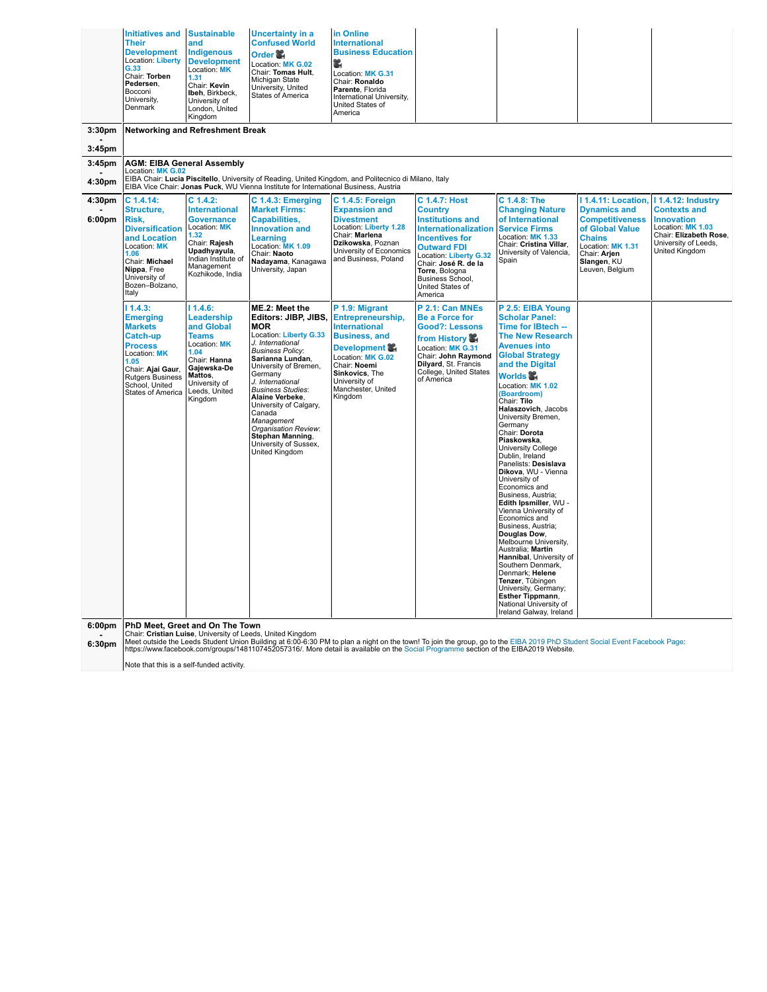| 3:30 <sub>pm</sub> | <b>Initiatives and Sustainable</b><br>Their<br><b>Development</b><br>Location: Liberty<br>G.33<br>Chair: Torben<br>Pedersen.<br>Bocconi<br>University,<br>Denmark                         | and<br><b>Indigenous</b><br><b>Development</b><br>Location: MK<br>1.31<br>Chair: Kevin<br>Ibeh, Birkbeck,<br>University of<br>London, United<br>Kingdom<br><b>Networking and Refreshment Break</b> | <b>Uncertainty in a</b><br><b>Confused World</b><br>Order 馨<br>Location: MK G.02<br>Chair: Tomas Hult,<br>Michigan State<br>University, United<br>States of America                                                                                                                                                                                                                               | in Online<br><b>International</b><br><b>Business Education</b><br>¥.<br>Location: MK G.31<br>Chair: Ronaldo<br>Parente, Florida<br>International University,<br>United States of<br>America                 |                                                                                                                                                                                                                                                |                                                                                                                                                                                                                                                                                                                                                                                                                                                                                                                                                                                                                                                                                                                                                                                                                    |                                                                                                                                                          |                                                                                                                                   |
|--------------------|-------------------------------------------------------------------------------------------------------------------------------------------------------------------------------------------|----------------------------------------------------------------------------------------------------------------------------------------------------------------------------------------------------|---------------------------------------------------------------------------------------------------------------------------------------------------------------------------------------------------------------------------------------------------------------------------------------------------------------------------------------------------------------------------------------------------|-------------------------------------------------------------------------------------------------------------------------------------------------------------------------------------------------------------|------------------------------------------------------------------------------------------------------------------------------------------------------------------------------------------------------------------------------------------------|--------------------------------------------------------------------------------------------------------------------------------------------------------------------------------------------------------------------------------------------------------------------------------------------------------------------------------------------------------------------------------------------------------------------------------------------------------------------------------------------------------------------------------------------------------------------------------------------------------------------------------------------------------------------------------------------------------------------------------------------------------------------------------------------------------------------|----------------------------------------------------------------------------------------------------------------------------------------------------------|-----------------------------------------------------------------------------------------------------------------------------------|
| 3:45pm             |                                                                                                                                                                                           |                                                                                                                                                                                                    |                                                                                                                                                                                                                                                                                                                                                                                                   |                                                                                                                                                                                                             |                                                                                                                                                                                                                                                |                                                                                                                                                                                                                                                                                                                                                                                                                                                                                                                                                                                                                                                                                                                                                                                                                    |                                                                                                                                                          |                                                                                                                                   |
| 3:45 <sub>pm</sub> | <b>AGM: EIBA General Assembly</b><br>Location: MK G.02                                                                                                                                    |                                                                                                                                                                                                    |                                                                                                                                                                                                                                                                                                                                                                                                   |                                                                                                                                                                                                             |                                                                                                                                                                                                                                                |                                                                                                                                                                                                                                                                                                                                                                                                                                                                                                                                                                                                                                                                                                                                                                                                                    |                                                                                                                                                          |                                                                                                                                   |
| 4:30pm             |                                                                                                                                                                                           |                                                                                                                                                                                                    | EIBA Vice Chair: Jonas Puck, WU Vienna Institute for International Business, Austria                                                                                                                                                                                                                                                                                                              | EIBA Chair: Lucia Piscitello, University of Reading, United Kingdom, and Politecnico di Milano, Italy                                                                                                       |                                                                                                                                                                                                                                                |                                                                                                                                                                                                                                                                                                                                                                                                                                                                                                                                                                                                                                                                                                                                                                                                                    |                                                                                                                                                          |                                                                                                                                   |
| 4:30pm             | $C$ 1.4.14:                                                                                                                                                                               | $C$ 1.4.2:                                                                                                                                                                                         | C 1.4.3: Emerging                                                                                                                                                                                                                                                                                                                                                                                 | C 1.4.5: Foreign                                                                                                                                                                                            | <b>C 1.4.7: Host</b>                                                                                                                                                                                                                           | C 1.4.8: The                                                                                                                                                                                                                                                                                                                                                                                                                                                                                                                                                                                                                                                                                                                                                                                                       | 11.4.11: Location,                                                                                                                                       | <b>11.4.12: Industry</b>                                                                                                          |
| 6:00 <sub>pm</sub> | Structure,<br>Risk,<br><b>Diversification</b><br>and Location<br>Location: MK<br>1.06<br>Chair: Michael<br>Nippa, Free<br>University of<br>Bozen-Bolzano,<br>Italy                        | <b>International</b><br><b>Governance</b><br>Location: MK<br>1.32<br>Chair: Rajesh<br>Upadhyayula,<br>Indian Institute of<br>Management<br>Kozhikode, India                                        | <b>Market Firms:</b><br><b>Capabilities,</b><br><b>Innovation and</b><br>Learning<br>Location: MK 1.09<br>Chair: Naoto<br>Nadayama, Kanagawa<br>University, Japan                                                                                                                                                                                                                                 | <b>Expansion and</b><br><b>Divestment</b><br>Location: Liberty 1.28<br>Chair: Marlena<br>Dzikowska, Poznan<br>University of Economics<br>and Business, Poland                                               | <b>Country</b><br><b>Institutions and</b><br><b>Internationalization</b><br><b>Incentives for</b><br><b>Outward FDI</b><br>Location: Liberty G.32<br>Chair: José R. de la<br>Torre, Bologna<br>Business School.<br>United States of<br>America | <b>Changing Nature</b><br>of International<br><b>Service Firms</b><br>Location: MK 1.33<br>Chair: Cristina Villar,<br>University of Valencia,<br>Spain                                                                                                                                                                                                                                                                                                                                                                                                                                                                                                                                                                                                                                                             | <b>Dynamics and</b><br><b>Competitiveness</b><br>of Global Value<br><b>Chains</b><br>Location: MK 1.31<br>Chair: Arjen<br>Slangen, KU<br>Leuven, Belgium | <b>Contexts and</b><br><b>Innovation</b><br>Location: MK 1.03<br>Chair: Elizabeth Rose,<br>University of Leeds,<br>United Kingdom |
|                    | 11.4.3:<br><b>Emerging</b><br><b>Markets</b><br>Catch-up<br><b>Process</b><br>Location: MK<br>1.05<br>Chair: Ajai Gaur,<br><b>Rutgers Business</b><br>School, United<br>States of America | 11.4.6:<br>Leadership<br>and Global<br><b>Teams</b><br>Location: MK<br>1.04<br>Chair: Hanna<br>Gajewska-De<br>Mattos.<br>University of<br>Leeds, United<br>Kingdom                                 | ME.2: Meet the<br>Editors: JIBP, JIBS,<br><b>MOR</b><br>Location: Liberty G.33<br>J. International<br><b>Business Policy:</b><br>Sarianna Lundan,<br>University of Bremen,<br>Germany<br>J. International<br><b>Business Studies:</b><br>Alaine Verbeke,<br>University of Calgary,<br>Canada<br>Management<br>Organisation Review:<br>Stephan Manning,<br>University of Sussex,<br>United Kingdom | P 1.9: Migrant<br>Entrepreneurship,<br><b>International</b><br><b>Business, and</b><br>Development<br>Location: MK G.02<br>Chair: Noemi<br>Sinkovics, The<br>University of<br>Manchester, United<br>Kingdom | P 2.1: Can MNEs<br><b>Be a Force for</b><br><b>Good?: Lessons</b><br>from History<br>Location: MK G.31<br>Chair: John Raymond<br>Dilyard, St. Francis<br>College, United States<br>of America                                                  | P 2.5: EIBA Young<br><b>Scholar Panel:</b><br>Time for IBtech --<br><b>The New Research</b><br><b>Avenues into</b><br><b>Global Strategy</b><br>and the Digital<br>Worlds<br>Location: MK 1.02<br>(Boardroom)<br>Chair: Tilo<br>Halaszovich, Jacobs<br>University Bremen,<br>Germany<br>Chair: Dorota<br>Piaskowska,<br>University College<br>Dublin, Ireland<br>Panelists: Desislava<br>Dikova, WU - Vienna<br>University of<br>Economics and<br>Business, Austria;<br>Edith Ipsmiller, WU -<br>Vienna University of<br>Economics and<br>Business, Austria;<br>Douglas Dow.<br>Melbourne University,<br>Australia; Martin<br>Hannibal, University of<br>Southern Denmark,<br>Denmark; Helene<br>Tenzer, Tübingen<br>University, Germany;<br>Esther Tippmann,<br>National University of<br>Ireland Galway, Ireland |                                                                                                                                                          |                                                                                                                                   |
| 6.00nm             |                                                                                                                                                                                           | <b>DhD Most Crost and On The Town</b>                                                                                                                                                              |                                                                                                                                                                                                                                                                                                                                                                                                   |                                                                                                                                                                                                             |                                                                                                                                                                                                                                                |                                                                                                                                                                                                                                                                                                                                                                                                                                                                                                                                                                                                                                                                                                                                                                                                                    |                                                                                                                                                          |                                                                                                                                   |

**6:00pm - 6:30pm**

**PhD Meet, Greet and On The Town**<br>Chair: **Cristian Luise**, University of Leeds, United Kingdom<br>Meet outside the Leeds Student Union Building at 6:00-6:30 PM to plan a night on the town! To join the group, go to the EIBA 2

Note that this is a self-funded activity.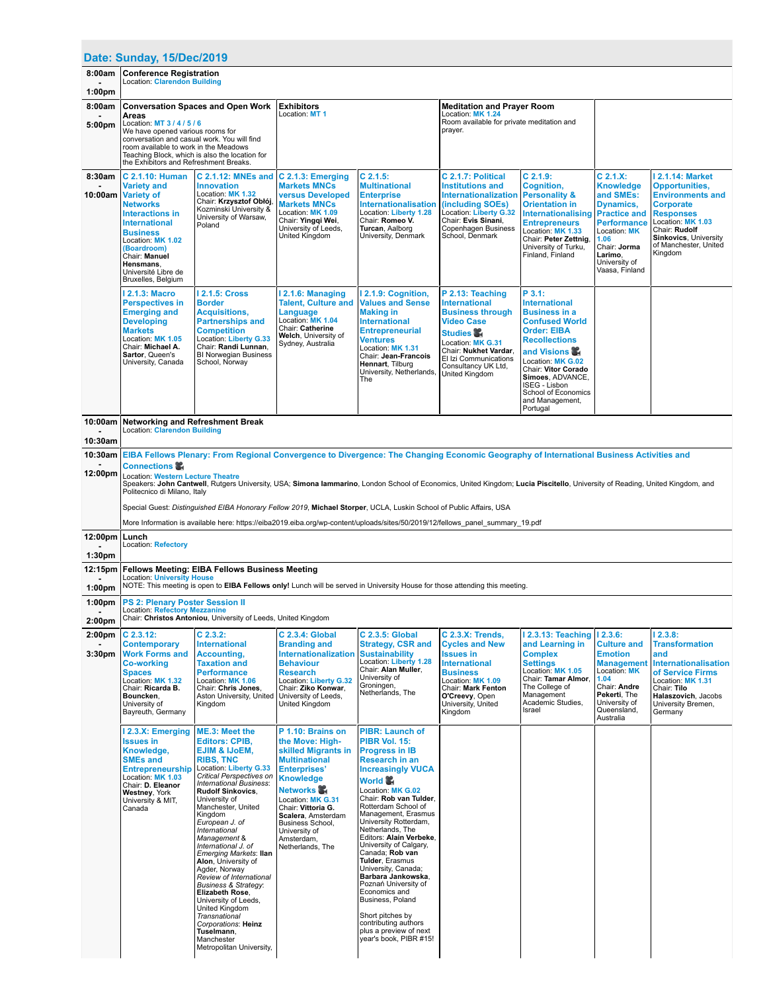|                                          | Date: Sunday, 15/Dec/2019                                                                                                                                                                                                                                                                               |                                                                                                                                                                                                                                                                                                                                                                                                                                                                                                                                                                                                                                                    |                                                                                                                                                                                                                                                                                           |                                                                                                                                                                                                                                                                                                                                                                                                                                                                                                                                                                                               |                                                                                                                                                                                                                              |                                                                                                                                                                                                                                                                                     |                                                                                                                                                                           |                                                                                                                                                                                                                              |  |  |
|------------------------------------------|---------------------------------------------------------------------------------------------------------------------------------------------------------------------------------------------------------------------------------------------------------------------------------------------------------|----------------------------------------------------------------------------------------------------------------------------------------------------------------------------------------------------------------------------------------------------------------------------------------------------------------------------------------------------------------------------------------------------------------------------------------------------------------------------------------------------------------------------------------------------------------------------------------------------------------------------------------------------|-------------------------------------------------------------------------------------------------------------------------------------------------------------------------------------------------------------------------------------------------------------------------------------------|-----------------------------------------------------------------------------------------------------------------------------------------------------------------------------------------------------------------------------------------------------------------------------------------------------------------------------------------------------------------------------------------------------------------------------------------------------------------------------------------------------------------------------------------------------------------------------------------------|------------------------------------------------------------------------------------------------------------------------------------------------------------------------------------------------------------------------------|-------------------------------------------------------------------------------------------------------------------------------------------------------------------------------------------------------------------------------------------------------------------------------------|---------------------------------------------------------------------------------------------------------------------------------------------------------------------------|------------------------------------------------------------------------------------------------------------------------------------------------------------------------------------------------------------------------------|--|--|
| 8:00am                                   | <b>Conference Registration</b>                                                                                                                                                                                                                                                                          |                                                                                                                                                                                                                                                                                                                                                                                                                                                                                                                                                                                                                                                    |                                                                                                                                                                                                                                                                                           |                                                                                                                                                                                                                                                                                                                                                                                                                                                                                                                                                                                               |                                                                                                                                                                                                                              |                                                                                                                                                                                                                                                                                     |                                                                                                                                                                           |                                                                                                                                                                                                                              |  |  |
| 1:00 <sub>pm</sub>                       | Location: Clarendon Building                                                                                                                                                                                                                                                                            |                                                                                                                                                                                                                                                                                                                                                                                                                                                                                                                                                                                                                                                    |                                                                                                                                                                                                                                                                                           |                                                                                                                                                                                                                                                                                                                                                                                                                                                                                                                                                                                               |                                                                                                                                                                                                                              |                                                                                                                                                                                                                                                                                     |                                                                                                                                                                           |                                                                                                                                                                                                                              |  |  |
| 8:00am<br>5:00pm                         | <b>Conversation Spaces and Open Work</b><br>Areas<br>Location: MT 3 / 4 / 5 / 6<br>We have opened various rooms for<br>conversation and casual work. You will find<br>room available to work in the Meadows<br>Teaching Block, which is also the location for<br>the Exhibitors and Refreshment Breaks. |                                                                                                                                                                                                                                                                                                                                                                                                                                                                                                                                                                                                                                                    | <b>Exhibitors</b><br>Location: MT 1                                                                                                                                                                                                                                                       |                                                                                                                                                                                                                                                                                                                                                                                                                                                                                                                                                                                               | <b>Meditation and Prayer Room</b><br>Location: MK 1.24<br>Room available for private meditation and<br>prayer.                                                                                                               |                                                                                                                                                                                                                                                                                     |                                                                                                                                                                           |                                                                                                                                                                                                                              |  |  |
| 8:30am<br>10:00am                        | C 2.1.10: Human<br><b>Variety and</b><br><b>Variety of</b><br><b>Networks</b><br><b>Interactions in</b><br><b>International</b><br><b>Business</b><br>Location: MK 1.02<br>(Boardroom)<br>Chair: Manuel<br>Hensmans.<br>Université Libre de<br>Bruxelles, Belgium                                       | C 2.1.12: MNEs and<br><b>Innovation</b><br>Location: MK 1.32<br>Chair: Krzysztof Obłój,<br>Kozminski University &<br>University of Warsaw,<br>Poland                                                                                                                                                                                                                                                                                                                                                                                                                                                                                               | C 2.1.3: Emerging<br><b>Markets MNCs</b><br>versus Developed<br><b>Markets MNCs</b><br>Location: MK 1.09<br>Chair: Yinggi Wei,<br>University of Leeds,<br>United Kingdom                                                                                                                  | $C$ 2.1.5:<br><b>Multinational</b><br><b>Enterprise</b><br><b>Internationalisation</b><br>Location: Liberty 1.28<br>Chair: Romeo V.<br>Turcan, Aalborg<br>University, Denmark                                                                                                                                                                                                                                                                                                                                                                                                                 | C 2.1.7: Political<br><b>Institutions and</b><br><b>Internationalization</b><br>(including SOEs)<br>Location: Liberty G.32<br>Chair: Evis Sinani,<br>Copenhagen Business<br>School, Denmark                                  | $C$ 2.1.9:<br>Cognition,<br><b>Personality &amp;</b><br><b>Orientation in</b><br><b>Internationalising Practice and</b><br><b>Entrepreneurs</b><br>Location: MK 1.33<br>Chair: Peter Zettnig,<br>University of Turku,<br>Finland, Finland                                           | C 2.1.X:<br><b>Knowledge</b><br>and SMEs:<br>Dynamics,<br><b>Performance</b><br>Location: MK<br>1.06<br>Chair: Jorma<br>Larimo.<br>University of<br>Vaasa, Finland        | <b>12.1.14: Market</b><br><b>Opportunities,</b><br><b>Environments and</b><br><b>Corporate</b><br><b>Responses</b><br>Location: MK 1.03<br>Chair: Rudolf<br><b>Sinkovics, University</b><br>of Manchester, United<br>Kingdom |  |  |
|                                          | l 2.1.3: Macro<br><b>Perspectives in</b><br><b>Emerging and</b><br><b>Developing</b><br><b>Markets</b><br>Location: MK 1.05<br>Chair: Michael A.<br>Sartor, Queen's<br>University, Canada                                                                                                               | 2.1.5: Cross<br><b>Border</b><br><b>Acquisitions,</b><br><b>Partnerships and</b><br><b>Competition</b><br>Location: Liberty G.33<br>Chair: Randi Lunnan.<br><b>BI Norwegian Business</b><br>School, Norway                                                                                                                                                                                                                                                                                                                                                                                                                                         | 2.1.6: Managing<br><b>Talent, Culture and</b><br>Language<br>Location: MK 1.04<br>Chair: Catherine<br>Welch, University of<br>Sydney, Australia                                                                                                                                           | 12.1.9: Cognition,<br><b>Values and Sense</b><br><b>Making in</b><br><b>International</b><br><b>Entrepreneurial</b><br><b>Ventures</b><br>Location: MK 1.31<br>Chair: Jean-Francois<br>Hennart, Tilburg<br>University, Netherlands<br>The                                                                                                                                                                                                                                                                                                                                                     | P 2.13: Teaching<br><b>International</b><br><b>Business through</b><br><b>Video Case</b><br><b>Studies 馨</b><br>Location: MK G.31<br>Chair: Nukhet Vardar,<br>El Izi Communications<br>Consultancy UK Ltd,<br>United Kingdom | P 3.1:<br><b>International</b><br><b>Business in a</b><br><b>Confused World</b><br><b>Order: EIBA</b><br><b>Recollections</b><br>and Visions<br>Location: MK G.02<br>Chair: Vitor Corado<br>Simoes, ADVANCE,<br>ISEG - Lisbon<br>School of Economics<br>and Management,<br>Portugal |                                                                                                                                                                           |                                                                                                                                                                                                                              |  |  |
| 10:00am                                  | <b>Networking and Refreshment Break</b><br><b>Location: Clarendon Building</b>                                                                                                                                                                                                                          |                                                                                                                                                                                                                                                                                                                                                                                                                                                                                                                                                                                                                                                    |                                                                                                                                                                                                                                                                                           |                                                                                                                                                                                                                                                                                                                                                                                                                                                                                                                                                                                               |                                                                                                                                                                                                                              |                                                                                                                                                                                                                                                                                     |                                                                                                                                                                           |                                                                                                                                                                                                                              |  |  |
| 10:30am                                  |                                                                                                                                                                                                                                                                                                         |                                                                                                                                                                                                                                                                                                                                                                                                                                                                                                                                                                                                                                                    |                                                                                                                                                                                                                                                                                           |                                                                                                                                                                                                                                                                                                                                                                                                                                                                                                                                                                                               |                                                                                                                                                                                                                              |                                                                                                                                                                                                                                                                                     |                                                                                                                                                                           |                                                                                                                                                                                                                              |  |  |
| 10:30am                                  |                                                                                                                                                                                                                                                                                                         |                                                                                                                                                                                                                                                                                                                                                                                                                                                                                                                                                                                                                                                    |                                                                                                                                                                                                                                                                                           |                                                                                                                                                                                                                                                                                                                                                                                                                                                                                                                                                                                               | EIBA Fellows Plenary: From Regional Convergence to Divergence: The Changing Economic Geography of International Business Activities and                                                                                      |                                                                                                                                                                                                                                                                                     |                                                                                                                                                                           |                                                                                                                                                                                                                              |  |  |
| 12:00pm                                  | <b>Connections</b><br>Location: Western Lecture Theatre<br>Speakers: John Cantwell, Rutgers University, USA; Simona lammarino, London School of Economics, United Kingdom; Lucia Piscitello, University of Reading, United Kingdom, and<br>Politecnico di Milano, Italy                                 |                                                                                                                                                                                                                                                                                                                                                                                                                                                                                                                                                                                                                                                    |                                                                                                                                                                                                                                                                                           |                                                                                                                                                                                                                                                                                                                                                                                                                                                                                                                                                                                               |                                                                                                                                                                                                                              |                                                                                                                                                                                                                                                                                     |                                                                                                                                                                           |                                                                                                                                                                                                                              |  |  |
|                                          | Special Guest: Distinguished EIBA Honorary Fellow 2019, Michael Storper, UCLA, Luskin School of Public Affairs, USA<br>More Information is available here: https://eiba2019.eiba.org/wp-content/uploads/sites/50/2019/12/fellows_panel_summary_19.pdf                                                   |                                                                                                                                                                                                                                                                                                                                                                                                                                                                                                                                                                                                                                                    |                                                                                                                                                                                                                                                                                           |                                                                                                                                                                                                                                                                                                                                                                                                                                                                                                                                                                                               |                                                                                                                                                                                                                              |                                                                                                                                                                                                                                                                                     |                                                                                                                                                                           |                                                                                                                                                                                                                              |  |  |
| 12:00pm                                  | Lunch                                                                                                                                                                                                                                                                                                   |                                                                                                                                                                                                                                                                                                                                                                                                                                                                                                                                                                                                                                                    |                                                                                                                                                                                                                                                                                           |                                                                                                                                                                                                                                                                                                                                                                                                                                                                                                                                                                                               |                                                                                                                                                                                                                              |                                                                                                                                                                                                                                                                                     |                                                                                                                                                                           |                                                                                                                                                                                                                              |  |  |
| 1:30 <sub>pm</sub>                       | Location: Refectory                                                                                                                                                                                                                                                                                     |                                                                                                                                                                                                                                                                                                                                                                                                                                                                                                                                                                                                                                                    |                                                                                                                                                                                                                                                                                           |                                                                                                                                                                                                                                                                                                                                                                                                                                                                                                                                                                                               |                                                                                                                                                                                                                              |                                                                                                                                                                                                                                                                                     |                                                                                                                                                                           |                                                                                                                                                                                                                              |  |  |
| 12:15pm                                  |                                                                                                                                                                                                                                                                                                         | <b>Fellows Meeting: EIBA Fellows Business Meeting</b>                                                                                                                                                                                                                                                                                                                                                                                                                                                                                                                                                                                              |                                                                                                                                                                                                                                                                                           |                                                                                                                                                                                                                                                                                                                                                                                                                                                                                                                                                                                               |                                                                                                                                                                                                                              |                                                                                                                                                                                                                                                                                     |                                                                                                                                                                           |                                                                                                                                                                                                                              |  |  |
| 1:00 <sub>pm</sub>                       | Location: University House                                                                                                                                                                                                                                                                              |                                                                                                                                                                                                                                                                                                                                                                                                                                                                                                                                                                                                                                                    |                                                                                                                                                                                                                                                                                           |                                                                                                                                                                                                                                                                                                                                                                                                                                                                                                                                                                                               | NOTE: This meeting is open to EIBA Fellows only! Lunch will be served in University House for those attending this meeting.                                                                                                  |                                                                                                                                                                                                                                                                                     |                                                                                                                                                                           |                                                                                                                                                                                                                              |  |  |
| 1:00pm                                   | <b>PS 2: Plenary Poster Session II</b><br><b>Location: Refectory Mezzanine</b>                                                                                                                                                                                                                          |                                                                                                                                                                                                                                                                                                                                                                                                                                                                                                                                                                                                                                                    |                                                                                                                                                                                                                                                                                           |                                                                                                                                                                                                                                                                                                                                                                                                                                                                                                                                                                                               |                                                                                                                                                                                                                              |                                                                                                                                                                                                                                                                                     |                                                                                                                                                                           |                                                                                                                                                                                                                              |  |  |
| 2:00 <sub>pm</sub>                       |                                                                                                                                                                                                                                                                                                         | Chair: Christos Antoniou, University of Leeds, United Kingdom                                                                                                                                                                                                                                                                                                                                                                                                                                                                                                                                                                                      |                                                                                                                                                                                                                                                                                           |                                                                                                                                                                                                                                                                                                                                                                                                                                                                                                                                                                                               |                                                                                                                                                                                                                              |                                                                                                                                                                                                                                                                                     |                                                                                                                                                                           |                                                                                                                                                                                                                              |  |  |
| 2:00 <sub>pm</sub><br>3:30 <sub>pm</sub> | $C$ 2.3.12:<br><b>Contemporary</b><br><b>Work Forms and</b><br><b>Co-working</b><br><b>Spaces</b><br>Location: MK 1.32<br>Chair: Ricarda B.<br>Bouncken,<br>University of<br>Bayreuth, Germany                                                                                                          | $C$ 2.3.2:<br><b>International</b><br><b>Accounting,</b><br><b>Taxation and</b><br><b>Performance</b><br>Location: MK 1.06<br>Chair: Chris Jones.<br>Aston University, United<br>Kingdom                                                                                                                                                                                                                                                                                                                                                                                                                                                           | <b>C 2.3.4: Global</b><br><b>Branding and</b><br><b>Internationalization</b><br><b>Behaviour</b><br><b>Research</b><br>Location: Liberty G.32<br>Chair: Ziko Konwar.<br>University of Leeds.<br>United Kingdom                                                                            | C 2.3.5: Global<br><b>Strategy, CSR and</b><br><b>Sustainability</b><br>Location: Liberty 1.28<br>Chair: Alan Muller.<br>University of<br>Groningen,<br>Netherlands, The                                                                                                                                                                                                                                                                                                                                                                                                                      | $C$ 2.3.X: Trends,<br><b>Cycles and New</b><br><b>Issues in</b><br><b>International</b><br><b>Business</b><br>Location: MK 1.09<br>Chair: Mark Fenton<br>O'Creevy, Open<br>University, United<br>Kingdom                     | 12.3.13: Teaching<br>and Learning in<br><b>Complex</b><br><b>Settings</b><br>Location: MK 1.05<br>Chair: Tamar Almor,<br>The College of<br>Management<br>Academic Studies,<br>Israel                                                                                                | 12.3.6:<br><b>Culture and</b><br><b>Emotion</b><br><b>Management</b><br>Location: MK<br>1.04<br>Chair: Andre<br>Pekerti, The<br>University of<br>Queensland.<br>Australia | 12.3.8:<br><b>Transformation</b><br>and<br><b>Internationalisation</b><br>of Service Firms<br>Location: MK 1.31<br>Chair: Tilo<br>Halaszovich, Jacobs<br>University Bremen,<br>Germany                                       |  |  |
|                                          | 12.3.X: Emerging<br><b>Issues in</b><br>Knowledge,<br><b>SMEs and</b><br><b>Entrepreneurship</b><br>Location: MK 1.03<br>Chair: D. Eleanor<br>Westney, York<br>University & MIT,<br>Canada                                                                                                              | <b>ME.3: Meet the</b><br><b>Editors: CPIB,</b><br><b>EJIM &amp; IJOEM,</b><br><b>RIBS, TNC</b><br>Location: Liberty G.33<br>Critical Perspectives on<br><b>International Business:</b><br><b>Rudolf Sinkovics,</b><br>University of<br>Manchester, United<br>Kingdom<br>European J. of<br>International<br>Management &<br>International J. of<br><b>Emerging Markets: Ilan</b><br>Alon, University of<br>Agder, Norway<br>Review of International<br><b>Business &amp; Strategy:</b><br>Elizabeth Rose,<br>University of Leeds,<br>United Kingdom<br>Transnational<br>Corporations: Heinz<br>Tuselmann,<br>Manchester<br>Metropolitan University, | P 1.10: Brains on<br>the Move: High-<br>skilled Migrants in<br><b>Multinational</b><br><b>Enterprises'</b><br><b>Knowledge</b><br><b>Networks</b><br>Location: MK G.31<br>Chair: Vittoria G.<br>Scalera, Amsterdam<br>Business School,<br>University of<br>Amsterdam,<br>Netherlands, The | <b>PIBR: Launch of</b><br><b>PIBR Vol. 15:</b><br><b>Progress in IB</b><br><b>Research in an</b><br><b>Increasingly VUCA</b><br>World <b>S</b><br>Location: MK G.02<br>Chair: Rob van Tulder,<br>Rotterdam School of<br>Management, Erasmus<br>University Rotterdam,<br>Netherlands, The<br>Editors: Alain Verbeke,<br>University of Calgary,<br>Canada; Rob van<br>Tulder, Erasmus<br>University, Canada;<br>Barbara Jankowska,<br>Poznań University of<br>Economics and<br>Business, Poland<br>Short pitches by<br>contributing authors<br>plus a preview of next<br>year's book, PIBR #15! |                                                                                                                                                                                                                              |                                                                                                                                                                                                                                                                                     |                                                                                                                                                                           |                                                                                                                                                                                                                              |  |  |